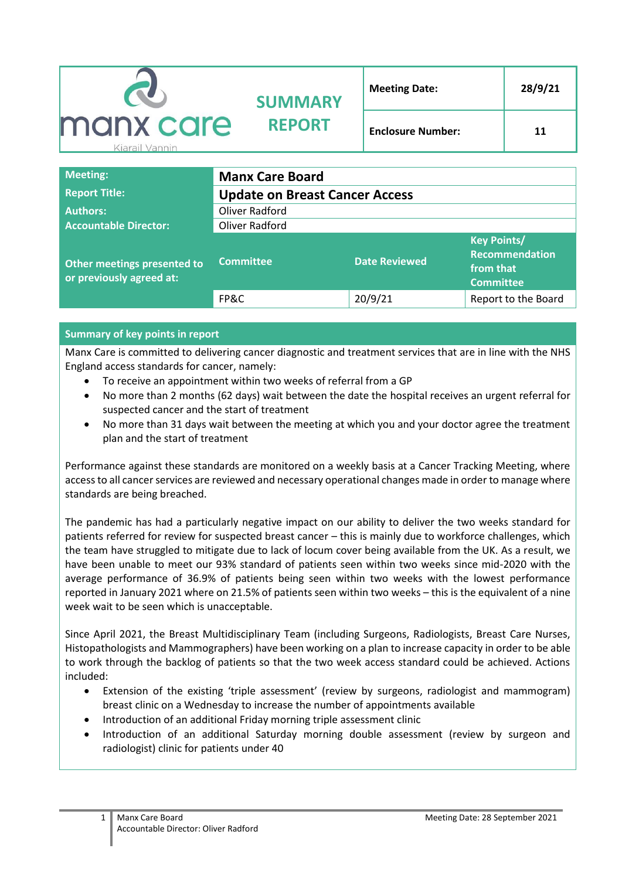|                             | <b>SUMMARY</b><br><b>REPORT</b> | <b>Meeting Date:</b>     | 28/9/21 |
|-----------------------------|---------------------------------|--------------------------|---------|
| manx care<br>Kiarail Vannin |                                 | <b>Enclosure Number:</b> | 11      |

| <b>Meeting:</b>                                         | <b>Manx Care Board</b>                |                      |                                                                       |  |
|---------------------------------------------------------|---------------------------------------|----------------------|-----------------------------------------------------------------------|--|
| <b>Report Title:</b>                                    | <b>Update on Breast Cancer Access</b> |                      |                                                                       |  |
| <b>Authors:</b>                                         | Oliver Radford                        |                      |                                                                       |  |
| <b>Accountable Director:</b>                            | Oliver Radford                        |                      |                                                                       |  |
| Other meetings presented to<br>or previously agreed at: | <b>Committee</b>                      | <b>Date Reviewed</b> | <b>Key Points/</b><br>Recommendation<br>from that<br><b>Committee</b> |  |
|                                                         | FP&C                                  | 20/9/21              | Report to the Board                                                   |  |

## **Summary of key points in report**

Manx Care is committed to delivering cancer diagnostic and treatment services that are in line with the NHS England access standards for cancer, namely:

- To receive an appointment within two weeks of referral from a GP
- No more than 2 months (62 days) wait between the date the hospital receives an urgent referral for suspected cancer and the start of treatment
- No more than 31 days wait between the meeting at which you and your doctor agree the treatment plan and the start of treatment

Performance against these standards are monitored on a weekly basis at a Cancer Tracking Meeting, where access to all cancer services are reviewed and necessary operational changes made in order to manage where standards are being breached.

The pandemic has had a particularly negative impact on our ability to deliver the two weeks standard for patients referred for review for suspected breast cancer – this is mainly due to workforce challenges, which the team have struggled to mitigate due to lack of locum cover being available from the UK. As a result, we have been unable to meet our 93% standard of patients seen within two weeks since mid-2020 with the average performance of 36.9% of patients being seen within two weeks with the lowest performance reported in January 2021 where on 21.5% of patients seen within two weeks – this is the equivalent of a nine week wait to be seen which is unacceptable.

Since April 2021, the Breast Multidisciplinary Team (including Surgeons, Radiologists, Breast Care Nurses, Histopathologists and Mammographers) have been working on a plan to increase capacity in order to be able to work through the backlog of patients so that the two week access standard could be achieved. Actions included:

- Extension of the existing 'triple assessment' (review by surgeons, radiologist and mammogram) breast clinic on a Wednesday to increase the number of appointments available
- Introduction of an additional Friday morning triple assessment clinic
- Introduction of an additional Saturday morning double assessment (review by surgeon and radiologist) clinic for patients under 40